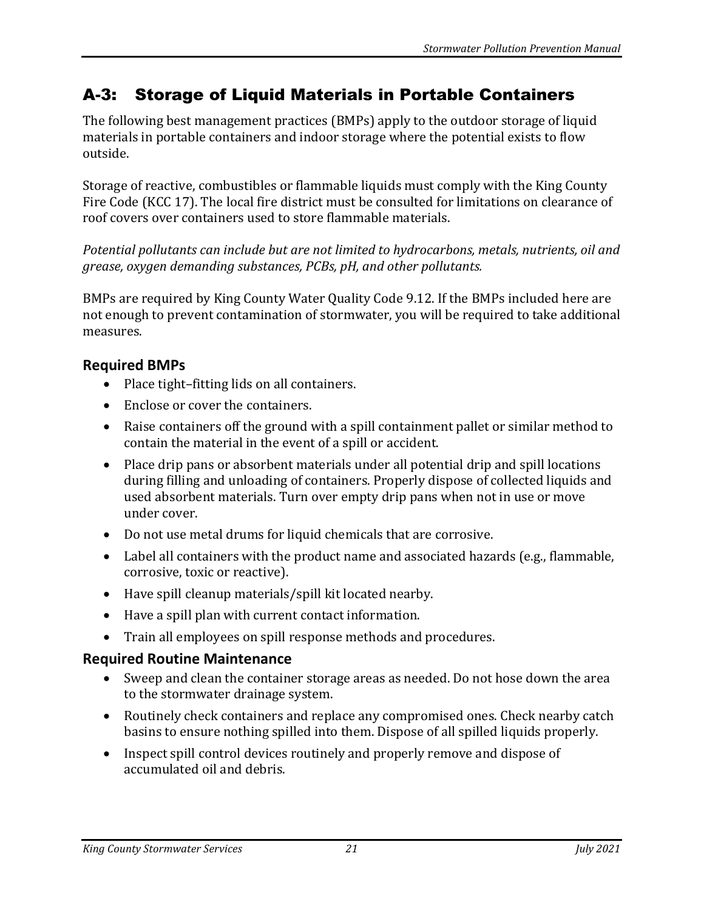## A-3: Storage of Liquid Materials in Portable Containers

The following best management practices (BMPs) apply to the outdoor storage of liquid materials in portable containers and indoor storage where the potential exists to flow outside.

Storage of reactive, combustibles or flammable liquids must comply with the King County Fire Code (KCC 17). The local fire district must be consulted for limitations on clearance of roof covers over containers used to store flammable materials.

*Potential pollutants can include but are not limited to hydrocarbons, metals, nutrients, oil and grease, oxygen demanding substances, PCBs, pH, and other pollutants.* 

BMPs are required by King County Water Quality Code 9.12. If the BMPs included here are not enough to prevent contamination of stormwater, you will be required to take additional measures.

## **Required BMPs**

- Place tight–fitting lids on all containers.
- Enclose or cover the containers.
- Raise containers off the ground with a spill containment pallet or similar method to contain the material in the event of a spill or accident.
- Place drip pans or absorbent materials under all potential drip and spill locations during filling and unloading of containers. Properly dispose of collected liquids and used absorbent materials. Turn over empty drip pans when not in use or move under cover.
- Do not use metal drums for liquid chemicals that are corrosive.
- Label all containers with the product name and associated hazards (e.g., flammable, corrosive, toxic or reactive).
- Have spill cleanup materials/spill kit located nearby.
- Have a spill plan with current contact information.
- Train all employees on spill response methods and procedures.

## **Required Routine Maintenance**

- Sweep and clean the container storage areas as needed. Do not hose down the area to the stormwater drainage system.
- Routinely check containers and replace any compromised ones. Check nearby catch basins to ensure nothing spilled into them. Dispose of all spilled liquids properly.
- Inspect spill control devices routinely and properly remove and dispose of accumulated oil and debris.